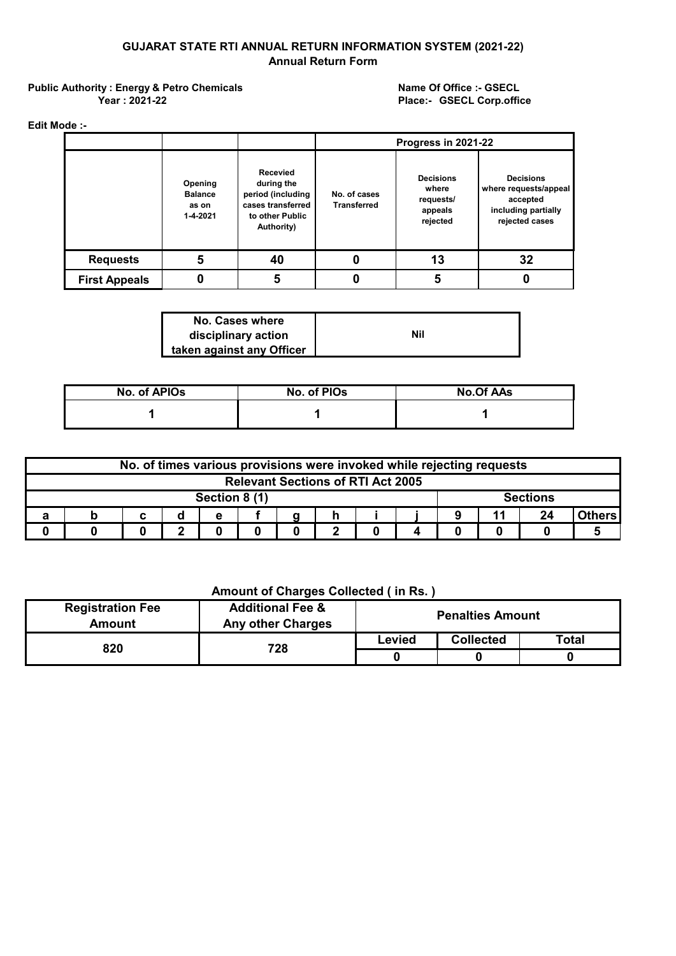## **GUJARAT STATE RTI ANNUAL RETURN INFORMATION SYSTEM (2021-22) Annual Return Form**

Public Authority : Energy & Petro Chemicals<br>
Name Of Office :- GSECL **Year : 2021-22**

**Place:- GSECL Corp.office**

**Edit Mode :-**

|                      |                                                |                                                                                                          | Progress in 2021-22                |                                                               |                                                                                                |  |
|----------------------|------------------------------------------------|----------------------------------------------------------------------------------------------------------|------------------------------------|---------------------------------------------------------------|------------------------------------------------------------------------------------------------|--|
|                      | Opening<br><b>Balance</b><br>as on<br>1-4-2021 | <b>Recevied</b><br>during the<br>period (including<br>cases transferred<br>to other Public<br>Authority) | No. of cases<br><b>Transferred</b> | <b>Decisions</b><br>where<br>requests/<br>appeals<br>rejected | <b>Decisions</b><br>where requests/appeal<br>accepted<br>including partially<br>rejected cases |  |
| <b>Requests</b>      | 5                                              | 40                                                                                                       | 0                                  | 13                                                            | 32                                                                                             |  |
| <b>First Appeals</b> |                                                | 5                                                                                                        |                                    | 5                                                             |                                                                                                |  |

| No. Cases where           |     |
|---------------------------|-----|
| disciplinary action       | Nil |
| taken against any Officer |     |

| No. of APIOs | No. of PIOs | <b>No.Of AAs</b> |
|--------------|-------------|------------------|
|              |             |                  |

| No. of times various provisions were invoked while rejecting requests |  |  |  |   |  |                 |  |  |  |  |    |        |
|-----------------------------------------------------------------------|--|--|--|---|--|-----------------|--|--|--|--|----|--------|
| <b>Relevant Sections of RTI Act 2005</b>                              |  |  |  |   |  |                 |  |  |  |  |    |        |
| Section 8 (1)                                                         |  |  |  |   |  | <b>Sections</b> |  |  |  |  |    |        |
|                                                                       |  |  |  | е |  |                 |  |  |  |  | 24 | Others |
|                                                                       |  |  |  |   |  |                 |  |  |  |  |    |        |

## **Amount of Charges Collected ( in Rs. )**

| <b>Registration Fee</b><br>Amount | <b>Additional Fee &amp;</b><br><b>Any other Charges</b> |        | <b>Penalties Amount</b> |       |
|-----------------------------------|---------------------------------------------------------|--------|-------------------------|-------|
| 820                               | 728                                                     | Levied | <b>Collected</b>        | Total |
|                                   |                                                         |        |                         |       |